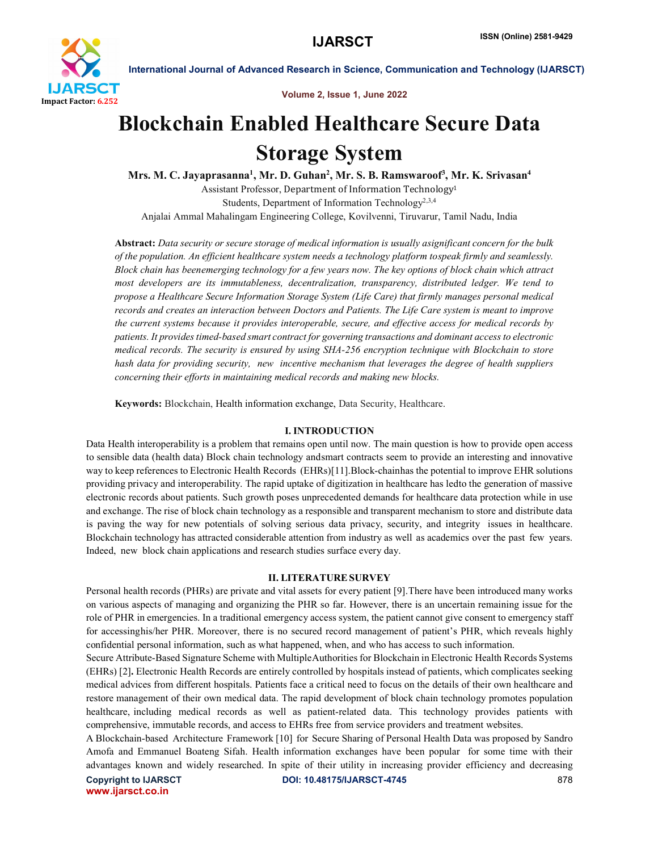

Volume 2, Issue 1, June 2022

# Blockchain Enabled Healthcare Secure Data Storage System

Mrs. M. C. Jayaprasanna<sup>1</sup>, Mr. D. Guhan<sup>2</sup>, Mr. S. B. Ramswaroof<sup>3</sup>, Mr. K. Srivasan<sup>4</sup> Assistant Professor, Department of Information Technology1 Students, Department of Information Technology<sup>2,3,4</sup> Anjalai Ammal Mahalingam Engineering College, Kovilvenni, Tiruvarur, Tamil Nadu, India

Abstract: *Data security or secure storage of medical information is usually asignificant concern for the bulk of the population. An efficient healthcare system needs a technology platform tospeak firmly and seamlessly. Block chain has beenemerging technology for a few years now. The key options of block chain which attract most developers are its immutableness, decentralization, transparency, distributed ledger. We tend to propose a Healthcare Secure Information Storage System (Life Care) that firmly manages personal medical records and creates an interaction between Doctors and Patients. The Life Care system is meant to improve the current systems because it provides interoperable, secure, and effective access for medical records by patients. It provides timed-based smart contract for governing transactions and dominant access to electronic medical records. The security is ensured by using SHA-256 encryption technique with Blockchain to store hash data for providing security, new incentive mechanism that leverages the degree of health suppliers concerning their efforts in maintaining medical records and making new blocks.*

Keywords: Blockchain, Health information exchange, Data Security, Healthcare.

## I. INTRODUCTION

Data Health interoperability is a problem that remains open until now. The main question is how to provide open access to sensible data (health data) Block chain technology andsmart contracts seem to provide an interesting and innovative way to keep references to Electronic Health Records (EHRs)[11].Block-chainhas the potential to improve EHR solutions providing privacy and interoperability. The rapid uptake of digitization in healthcare has ledto the generation of massive electronic records about patients. Such growth poses unprecedented demands for healthcare data protection while in use and exchange. The rise of block chain technology as a responsible and transparent mechanism to store and distribute data is paving the way for new potentials of solving serious data privacy, security, and integrity issues in healthcare. Blockchain technology has attracted considerable attention from industry as well as academics over the past few years. Indeed, new block chain applications and research studies surface every day.

## II. LITERATURESURVEY

Personal health records (PHRs) are private and vital assets for every patient [9].There have been introduced many works on various aspects of managing and organizing the PHR so far. However, there is an uncertain remaining issue for the role of PHR in emergencies. In a traditional emergency access system, the patient cannot give consent to emergency staff for accessinghis/her PHR. Moreover, there is no secured record management of patient's PHR, which reveals highly confidential personal information, such as what happened, when, and who has access to such information.

Secure Attribute-Based Signature Scheme with MultipleAuthorities for Blockchain in Electronic Health Records Systems (EHRs) [2]. Electronic Health Records are entirely controlled by hospitals instead of patients, which complicates seeking medical advices from different hospitals. Patients face a critical need to focus on the details of their own healthcare and restore management of their own medical data. The rapid development of block chain technology promotes population healthcare, including medical records as well as patient-related data. This technology provides patients with comprehensive, immutable records, and access to EHRs free from service providers and treatment websites.

A Blockchain-based Architecture Framework [10] for Secure Sharing of Personal Health Data was proposed by Sandro Amofa and Emmanuel Boateng Sifah. Health information exchanges have been popular for some time with their advantages known and widely researched. In spite of their utility in increasing provider efficiency and decreasing

www.ijarsct.co.in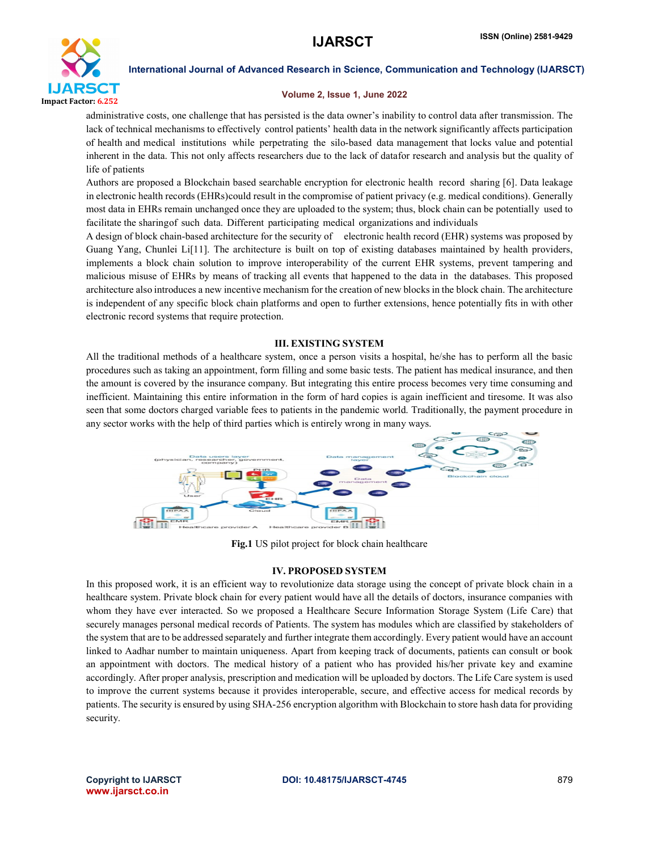

# Volume 2, Issue 1, June 2022

administrative costs, one challenge that has persisted is the data owner's inability to control data after transmission. The lack of technical mechanisms to effectively control patients' health data in the network significantly affects participation of health and medical institutions while perpetrating the silo-based data management that locks value and potential inherent in the data. This not only affects researchers due to the lack of datafor research and analysis but the quality of life of patients

Authors are proposed a Blockchain based searchable encryption for electronic health record sharing [6]. Data leakage in electronic health records (EHRs)could result in the compromise of patient privacy (e.g. medical conditions). Generally most data in EHRs remain unchanged once they are uploaded to the system; thus, block chain can be potentially used to facilitate the sharingof such data. Different participating medical organizations and individuals

A design of block chain-based architecture for the security of electronic health record (EHR) systems was proposed by Guang Yang, Chunlei Li[11]. The architecture is built on top of existing databases maintained by health providers, implements a block chain solution to improve interoperability of the current EHR systems, prevent tampering and malicious misuse of EHRs by means of tracking all events that happened to the data in the databases. This proposed architecture also introduces a new incentive mechanism for the creation of new blocks in the block chain. The architecture is independent of any specific block chain platforms and open to further extensions, hence potentially fits in with other electronic record systems that require protection.

# III. EXISTING SYSTEM

All the traditional methods of a healthcare system, once a person visits a hospital, he/she has to perform all the basic procedures such as taking an appointment, form filling and some basic tests. The patient has medical insurance, and then the amount is covered by the insurance company. But integrating this entire process becomes very time consuming and inefficient. Maintaining this entire information in the form of hard copies is again inefficient and tiresome. It was also seen that some doctors charged variable fees to patients in the pandemic world. Traditionally, the payment procedure in any sector works with the help of third parties which is entirely wrong in many ways.



Fig.1 US pilot project for block chain healthcare

## IV. PROPOSED SYSTEM

In this proposed work, it is an efficient way to revolutionize data storage using the concept of private block chain in a healthcare system. Private block chain for every patient would have all the details of doctors, insurance companies with whom they have ever interacted. So we proposed a Healthcare Secure Information Storage System (Life Care) that securely manages personal medical records of Patients. The system has modules which are classified by stakeholders of the system that are to be addressed separately and further integrate them accordingly. Every patient would have an account linked to Aadhar number to maintain uniqueness. Apart from keeping track of documents, patients can consult or book an appointment with doctors. The medical history of a patient who has provided his/her private key and examine accordingly. After proper analysis, prescription and medication will be uploaded by doctors. The Life Care system is used to improve the current systems because it provides interoperable, secure, and effective access for medical records by patients. The security is ensured by using SHA-256 encryption algorithm with Blockchain to store hash data for providing security.

www.ijarsct.co.in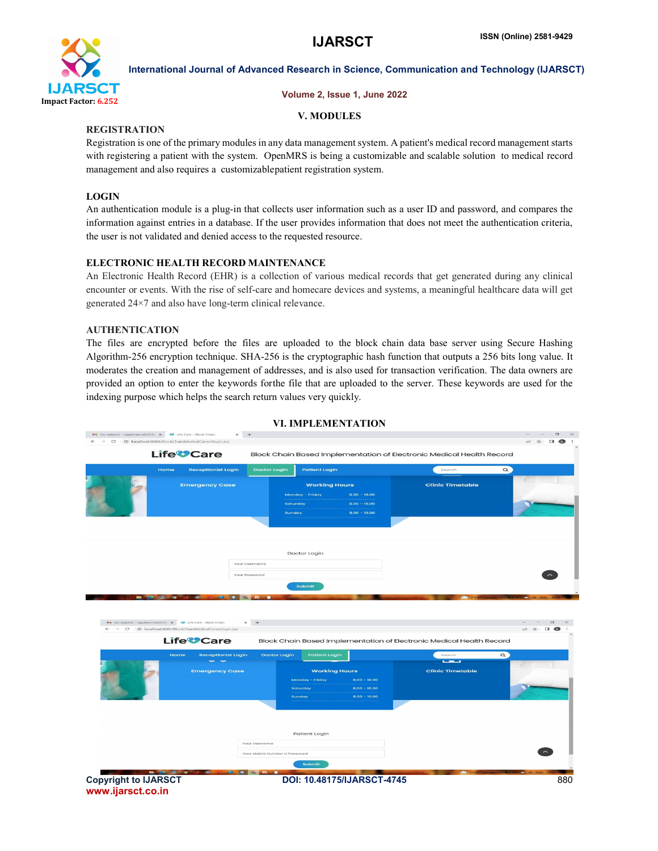

# Volume 2, Issue 1, June 2022

# V. MODULES

# **REGISTRATION**

Registration is one of the primary modules in any data management system. A patient's medical record management starts with registering a patient with the system. OpenMRS is being a customizable and scalable solution to medical record management and also requires a customizablepatient registration system.

# LOGIN

An authentication module is a plug-in that collects user information such as a user ID and password, and compares the information against entries in a database. If the user provides information that does not meet the authentication criteria, the user is not validated and denied access to the requested resource.

# ELECTRONIC HEALTH RECORD MAINTENANCE

An Electronic Health Record (EHR) is a collection of various medical records that get generated during any clinical encounter or events. With the rise of self-care and homecare devices and systems, a meaningful healthcare data will get generated 24×7 and also have long-term clinical relevance.

# AUTHENTICATION

The files are encrypted before the files are uploaded to the block chain data base server using Secure Hashing Algorithm-256 encryption technique. SHA-256 is the cryptographic hash function that outputs a 256 bits long value. It moderates the creation and management of addresses, and is also used for transaction verification. The data owners are provided an option to enter the keywords forthe file that are uploaded to the server. These keywords are used for the indexing purpose which helps the search return values very quickly.



# VI. IMPLEMENTATION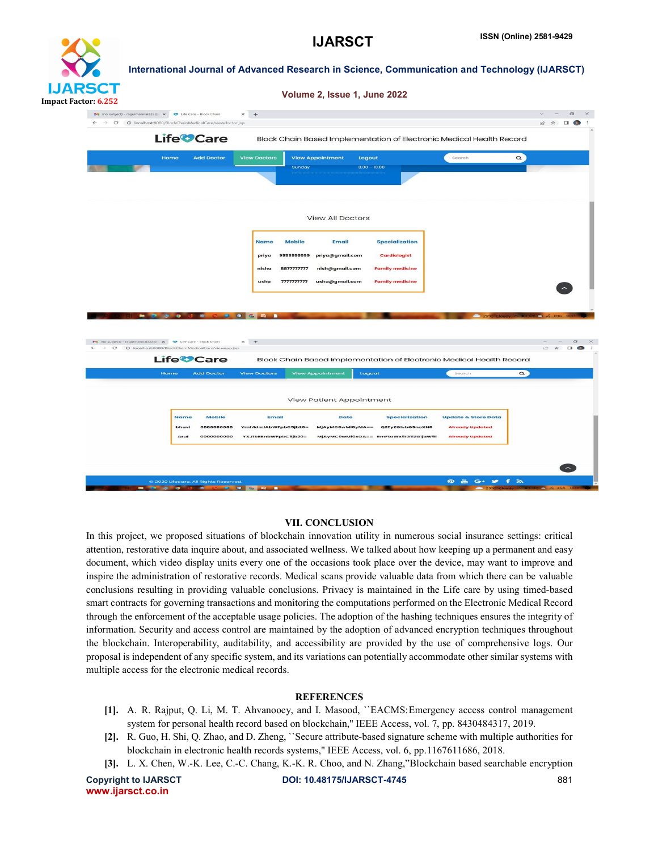

| Volume 2, Issue 1, June 2022 |  |  |  |
|------------------------------|--|--|--|
|                              |  |  |  |

|                                                                                                                     | <b>View Appointment</b><br><b>View Doctors</b><br>Logout<br>$8.00 - 13.00$<br>Sunday                                            | $\alpha$<br>Search             |                    |
|---------------------------------------------------------------------------------------------------------------------|---------------------------------------------------------------------------------------------------------------------------------|--------------------------------|--------------------|
|                                                                                                                     | <b>View All Doctors</b>                                                                                                         |                                |                    |
|                                                                                                                     | <b>Specialization</b><br><b>Name</b><br><b>Mobile</b><br><b>Email</b>                                                           |                                |                    |
|                                                                                                                     | 999999999<br>priya@gmail.com<br><b>Cardiologist</b><br>priya<br>8877777777<br><b>Family medicine</b><br>nish@gmail.com<br>nisha |                                |                    |
|                                                                                                                     | 7777777777<br>usha@gmail.com<br><b>Family medicine</b><br>usha                                                                  |                                |                    |
| $\bullet$<br>$\bullet$                                                                                              | $G_{2}$<br>■■■<br>$\blacksquare$                                                                                                | 29°C Clos                      | C <i>(a</i> ENG 10 |
| M (no subject) - ragulmannal222@ x 3 Ufe Care - Block Chain<br>C @ localhost:8080/BlockChainMedicalCare/viewapp.jsp | $\times$ +                                                                                                                      |                                | 10 ☆               |
| <b>Life<sup>2</sup>Care</b>                                                                                         | Block Chain Based Implementation of Electronic Medical Health Record                                                            |                                |                    |
| Home<br><b>Add Doctor</b>                                                                                           | <b>View Doctors</b><br><b>View Appointment</b><br>Logout                                                                        | $\alpha$<br>Search             |                    |
|                                                                                                                     | View Patient Appointment                                                                                                        |                                |                    |
|                                                                                                                     |                                                                                                                                 | <b>Update &amp; Store Data</b> |                    |
| <b>Name</b><br><b>Mobile</b><br>888888888<br>bhuvi                                                                  | Email<br><b>Date</b><br><b>Specialization</b><br>YmhldmlAbWFpbC5jb20=<br>MjAyMCOwMi0yMA==<br>Q2FyZGIvbG9naXN0                   | <b>Already Updated</b>         |                    |

#### VII. CONCLUSION

In this project, we proposed situations of blockchain innovation utility in numerous social insurance settings: critical attention, restorative data inquire about, and associated wellness. We talked about how keeping up a permanent and easy document, which video display units every one of the occasions took place over the device, may want to improve and inspire the administration of restorative records. Medical scans provide valuable data from which there can be valuable conclusions resulting in providing valuable conclusions. Privacy is maintained in the Life care by using timed-based smart contracts for governing transactions and monitoring the computations performed on the Electronic Medical Record through the enforcement of the acceptable usage policies. The adoption of the hashing techniques ensures the integrity of information. Security and access control are maintained by the adoption of advanced encryption techniques throughout the blockchain. Interoperability, auditability, and accessibility are provided by the use of comprehensive logs. Our proposal is independent of any specific system, and its variations can potentially accommodate other similar systems with multiple access for the electronic medical records.

## **REFERENCES**

- [1]. A. R. Rajput, Q. Li, M. T. Ahvanooey, and I. Masood, ``EACMS:Emergency access control management system for personal health record based on blockchain,'' IEEE Access, vol. 7, pp. 8430484317, 2019.
- [2]. R. Guo, H. Shi, Q. Zhao, and D. Zheng, ``Secure attribute-based signature scheme with multiple authorities for blockchain in electronic health records systems,'' IEEE Access, vol. 6, pp.1167611686, 2018.
- [3]. L. X. Chen, W.-K. Lee, C.-C. Chang, K.-K. R. Choo, and N. Zhang,"Blockchain based searchable encryption

www.ijarsct.co.in